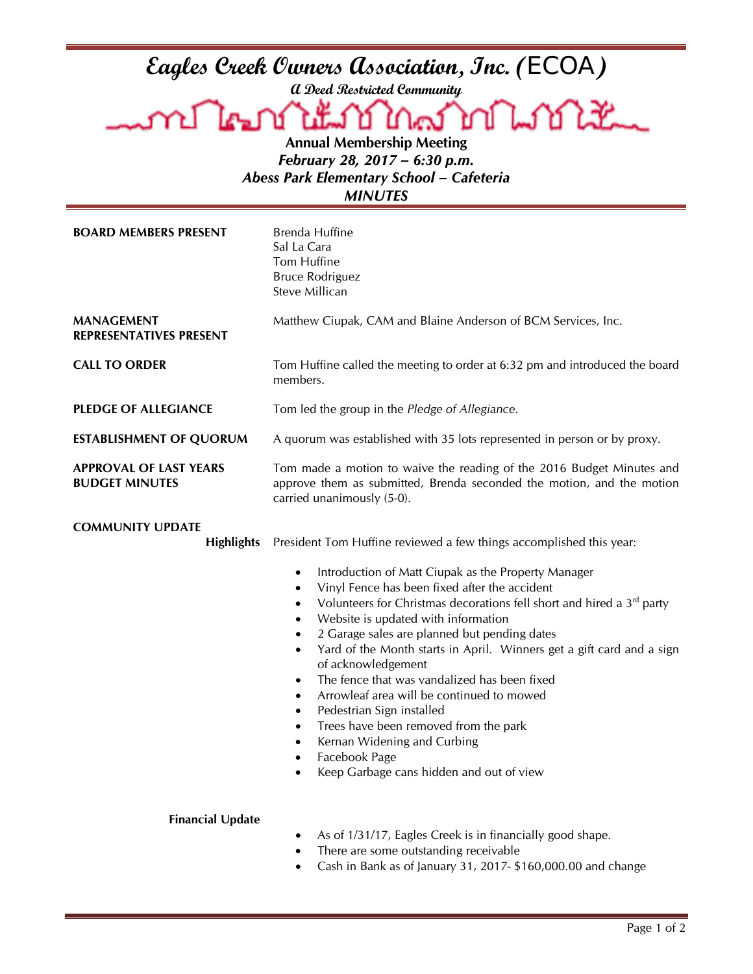## **Eagles Creek Owners Association, Inc. (**ECOA**)**

**A Deed Restricted Community**

mm Tri Lookt Ł كمكا Д **Annual Membership Meeting**

*February 28, 2017 – 6:30 p.m. Abess Park Elementary School – Cafeteria*

*MINUTES*

| <b>BOARD MEMBERS PRESENT</b>                           | Brenda Huffine<br>Sal La Cara<br>Tom Huffine<br><b>Bruce Rodriguez</b><br>Steve Millican                                                                                                                                                                                                                                                                                                                                                                                                                                                                                                                                                                                                                                                                                                                                                     |
|--------------------------------------------------------|----------------------------------------------------------------------------------------------------------------------------------------------------------------------------------------------------------------------------------------------------------------------------------------------------------------------------------------------------------------------------------------------------------------------------------------------------------------------------------------------------------------------------------------------------------------------------------------------------------------------------------------------------------------------------------------------------------------------------------------------------------------------------------------------------------------------------------------------|
| <b>MANAGEMENT</b><br><b>REPRESENTATIVES PRESENT</b>    | Matthew Ciupak, CAM and Blaine Anderson of BCM Services, Inc.                                                                                                                                                                                                                                                                                                                                                                                                                                                                                                                                                                                                                                                                                                                                                                                |
| <b>CALL TO ORDER</b>                                   | Tom Huffine called the meeting to order at 6:32 pm and introduced the board<br>members.                                                                                                                                                                                                                                                                                                                                                                                                                                                                                                                                                                                                                                                                                                                                                      |
| <b>PLEDGE OF ALLEGIANCE</b>                            | Tom led the group in the Pledge of Allegiance.                                                                                                                                                                                                                                                                                                                                                                                                                                                                                                                                                                                                                                                                                                                                                                                               |
| <b>ESTABLISHMENT OF QUORUM</b>                         | A quorum was established with 35 lots represented in person or by proxy.                                                                                                                                                                                                                                                                                                                                                                                                                                                                                                                                                                                                                                                                                                                                                                     |
| <b>APPROVAL OF LAST YEARS</b><br><b>BUDGET MINUTES</b> | Tom made a motion to waive the reading of the 2016 Budget Minutes and<br>approve them as submitted, Brenda seconded the motion, and the motion<br>carried unanimously (5-0).                                                                                                                                                                                                                                                                                                                                                                                                                                                                                                                                                                                                                                                                 |
| <b>COMMUNITY UPDATE</b><br><b>Highlights</b>           | President Tom Huffine reviewed a few things accomplished this year:<br>Introduction of Matt Ciupak as the Property Manager<br>$\bullet$<br>Vinyl Fence has been fixed after the accident<br>$\bullet$<br>Volunteers for Christmas decorations fell short and hired a 3 <sup>rd</sup> party<br>$\bullet$<br>Website is updated with information<br>$\bullet$<br>2 Garage sales are planned but pending dates<br>Yard of the Month starts in April. Winners get a gift card and a sign<br>$\bullet$<br>of acknowledgement<br>The fence that was vandalized has been fixed<br>$\bullet$<br>Arrowleaf area will be continued to mowed<br>$\bullet$<br>Pedestrian Sign installed<br>٠<br>Trees have been removed from the park<br>٠<br>Kernan Widening and Curbing<br>٠<br>Facebook Page<br>$\bullet$<br>Keep Garbage cans hidden and out of view |
| <b>Financial Update</b>                                | As of 1/31/17, Eagles Creek is in financially good shape.<br>There are some outstanding receivable<br>Cash in Bank as of January 31, 2017- \$160,000.00 and change                                                                                                                                                                                                                                                                                                                                                                                                                                                                                                                                                                                                                                                                           |